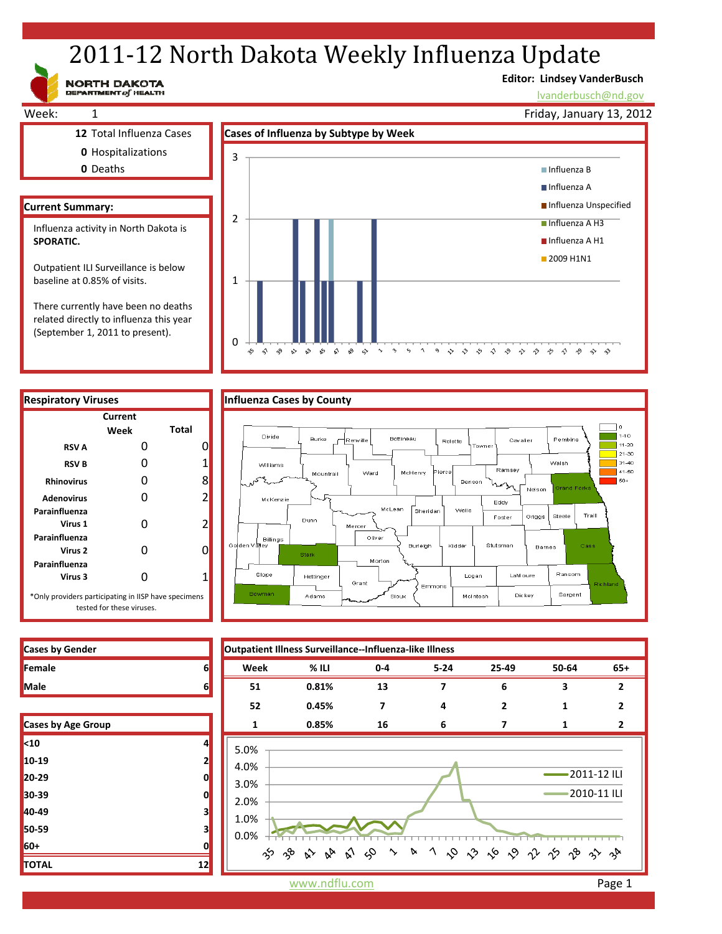# 2011-12 North Dakota Weekly Influenza Update

NORTH DAKOTA

# **Editor: Lindsey VanderBusch**

lvanderbusch@nd.gov

٦o  $1 - 10$ 

 $\overline{1}$  11-20  $\frac{1}{21-30}$ 

 $31-40$ 

41-50

 $50+$ 

Pembina

Walsh

Steele

Ransom

Sargent

Traill

.<br>Nelson

.<br>Griggs

Barnes

Week: 1 **12** Total Influenza Cases **Cases of Influenza by Subtype by Week 0** Hospitalizations **0** Deaths **Current Summary:** Friday, January 13, 2012 2 3 Influenza B ■ Influenza A **Influenza Unspecified** Influenza A H3 Influenza A H1 **2009 H1N1** Influenza activity in North Dakota is **SPORATIC.**  Outpatient ILI Surveillance is below baseline at 0.85% of visits.

There currently have been no deaths related directly to influenza this year (September 1, 2011 to present).







| <b>Cases by Gender</b> |  |
|------------------------|--|
| Female                 |  |
| <b>Male</b>            |  |

| <b>Cases by Age Group</b> |    |
|---------------------------|----|
| $10$                      | 4  |
| 10-19                     | 2  |
| 20-29                     | 0  |
| 30-39                     | 0  |
| 40-49                     | 3  |
| 50-59                     | 3  |
| 60+                       | 0  |
| <b>TOTAL</b>              | 12 |

www.ndflu.com **Page 1**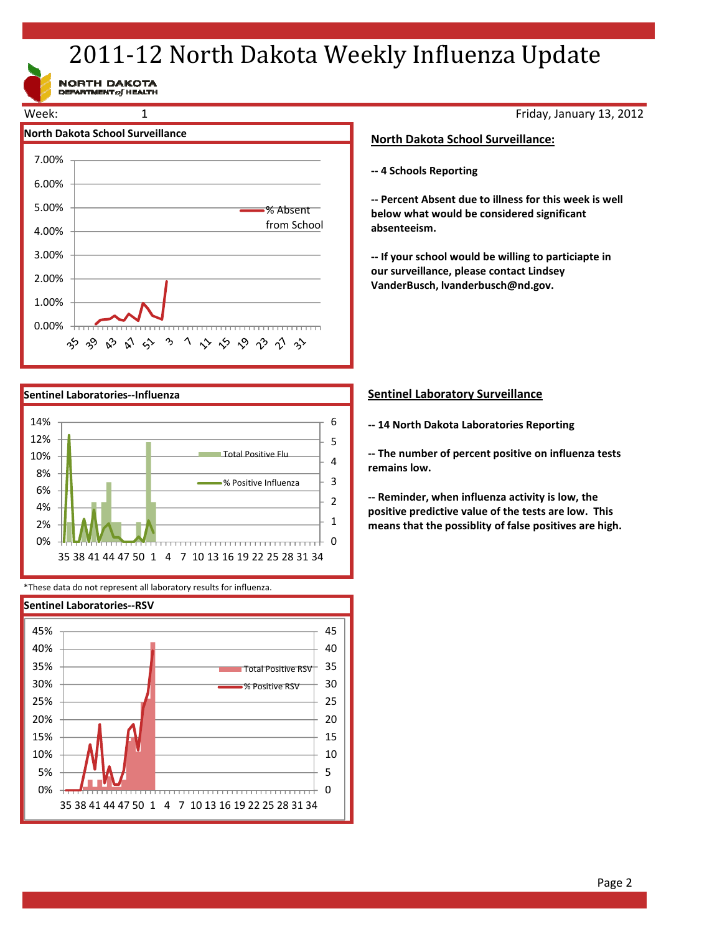# 2011-12 North Dakota Weekly Influenza Update

NORTH DAKOTA<br>DEPARTMENT of HEALTH





\*These data do not represent all laboratory results for influenza.



Friday, January 13, 2012

## **North Dakota School Surveillance:**

**‐‐ 4 Schools Reporting**

**‐‐ Percent Absent due to illness for this week is well below what would be considered significant absenteeism.**

**‐‐ If your school would be willing to particiapte in our surveillance, please contact Lindsey VanderBusch, lvanderbusch@nd.gov.**

# **Sentinel Laboratory Surveillance**

**‐‐ 14 North Dakota Laboratories Reporting**

**‐‐ The number of percent positive on influenza tests remains low.**

**‐‐ Reminder, when influenza activity is low, the positive predictive value of the tests are low. This means that the possiblity of false positives are high.**